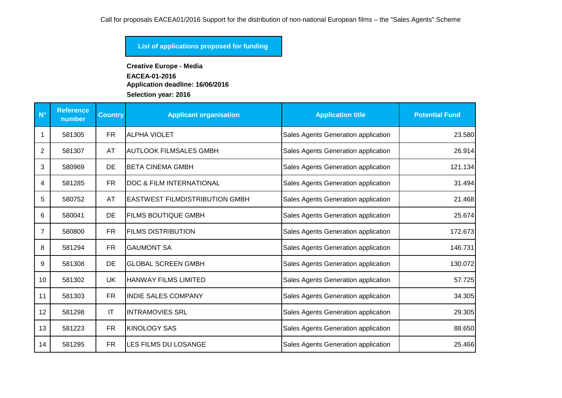### **List of applications proposed for funding**

**Creative Europe - Media EACEA-01-2016 Application deadline: 16/06/2016**

**Selection year: 2016**

| $N^{\circ}$ | <b>Reference</b><br>number | <b>Country</b> | <b>Applicant organisation</b>         | <b>Application title</b>            | <b>Potential Fund</b> |
|-------------|----------------------------|----------------|---------------------------------------|-------------------------------------|-----------------------|
|             | 581305                     | <b>FR</b>      | <b>ALPHA VIOLET</b>                   | Sales Agents Generation application | 23.580                |
| 2           | 581307                     | AT             | IAUTLOOK FILMSALES GMBH               | Sales Agents Generation application | 26.914                |
| 3           | 580969                     | <b>DE</b>      | <b>BETA CINEMA GMBH</b>               | Sales Agents Generation application | 121.134               |
| 4           | 581285                     | <b>FR</b>      | <b>DOC &amp; FILM INTERNATIONAL</b>   | Sales Agents Generation application | 31.494                |
| 5           | 580752                     | AT             | <b>EASTWEST FILMDISTRIBUTION GMBH</b> | Sales Agents Generation application | 21.468                |
| 6           | 580041                     | DE             | <b>FILMS BOUTIQUE GMBH</b>            | Sales Agents Generation application | 25.674                |
| 7           | 580800                     | <b>FR</b>      | <b>FILMS DISTRIBUTION</b>             | Sales Agents Generation application | 172.673               |
| 8           | 581294                     | <b>FR</b>      | <b>GAUMONT SA</b>                     | Sales Agents Generation application | 146.731               |
| 9           | 581308                     | DE             | <b>GLOBAL SCREEN GMBH</b>             | Sales Agents Generation application | 130.072               |
| 10          | 581302                     | UK.            | <b>HANWAY FILMS LIMITED</b>           | Sales Agents Generation application | 57.725                |
| 11          | 581303                     | <b>FR</b>      | <b>INDIE SALES COMPANY</b>            | Sales Agents Generation application | 34.305                |
| 12          | 581298                     | IT             | <b>INTRAMOVIES SRL</b>                | Sales Agents Generation application | 29.305                |
| 13          | 581223                     | <b>FR</b>      | <b>KINOLOGY SAS</b>                   | Sales Agents Generation application | 88.650                |
| 14          | 581295                     | <b>FR</b>      | <b>LES FILMS DU LOSANGE</b>           | Sales Agents Generation application | 25.466                |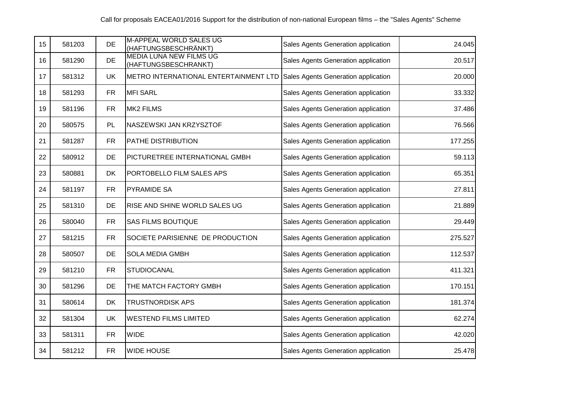| 15 | 581203 | <b>DE</b> | M-APPEAL WORLD SALES UG<br>(HAFTUNGSBESCHRÄNKT)        | Sales Agents Generation application | 24.045  |
|----|--------|-----------|--------------------------------------------------------|-------------------------------------|---------|
| 16 | 581290 | <b>DE</b> | <b>MEDIA LUNA NEW FILMS UG</b><br>(HAFTUNGSBESCHRANKT) | Sales Agents Generation application | 20.517  |
| 17 | 581312 | <b>UK</b> | METRO INTERNATIONAL ENTERTAINMENT LTD                  | Sales Agents Generation application | 20.000  |
| 18 | 581293 | <b>FR</b> | <b>MFI SARL</b>                                        | Sales Agents Generation application | 33.332  |
| 19 | 581196 | <b>FR</b> | <b>MK2 FILMS</b>                                       | Sales Agents Generation application | 37.486  |
| 20 | 580575 | PL        | NASZEWSKI JAN KRZYSZTOF                                | Sales Agents Generation application | 76.566  |
| 21 | 581287 | <b>FR</b> | <b>PATHE DISTRIBUTION</b>                              | Sales Agents Generation application | 177.255 |
| 22 | 580912 | DE        | PICTURETREE INTERNATIONAL GMBH                         | Sales Agents Generation application | 59.113  |
| 23 | 580881 | <b>DK</b> | PORTOBELLO FILM SALES APS                              | Sales Agents Generation application | 65.351  |
| 24 | 581197 | <b>FR</b> | <b>PYRAMIDE SA</b>                                     | Sales Agents Generation application | 27.811  |
| 25 | 581310 | DE        | RISE AND SHINE WORLD SALES UG                          | Sales Agents Generation application | 21.889  |
| 26 | 580040 | <b>FR</b> | <b>SAS FILMS BOUTIQUE</b>                              | Sales Agents Generation application | 29.449  |
| 27 | 581215 | <b>FR</b> | SOCIETE PARISIENNE DE PRODUCTION                       | Sales Agents Generation application | 275.527 |
| 28 | 580507 | <b>DE</b> | <b>SOLA MEDIA GMBH</b>                                 | Sales Agents Generation application | 112.537 |
| 29 | 581210 | <b>FR</b> | STUDIOCANAL                                            | Sales Agents Generation application | 411.321 |
| 30 | 581296 | <b>DE</b> | THE MATCH FACTORY GMBH                                 | Sales Agents Generation application | 170.151 |
| 31 | 580614 | <b>DK</b> | <b>TRUSTNORDISK APS</b>                                | Sales Agents Generation application | 181.374 |
| 32 | 581304 | <b>UK</b> | <b>WESTEND FILMS LIMITED</b>                           | Sales Agents Generation application | 62.274  |
| 33 | 581311 | <b>FR</b> | <b>WIDE</b>                                            | Sales Agents Generation application | 42.020  |
| 34 | 581212 | <b>FR</b> | <b>WIDE HOUSE</b>                                      | Sales Agents Generation application | 25.478  |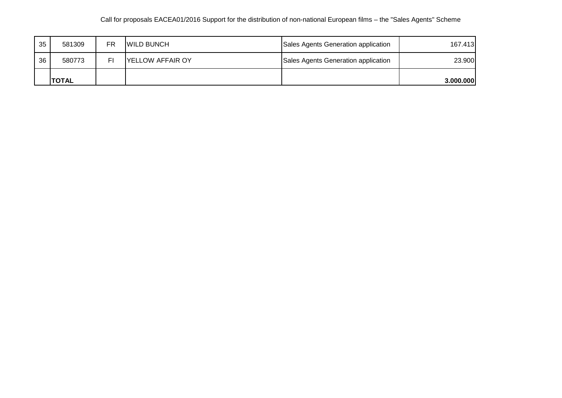### Call for proposals EACEA01/2016 Support for the distribution of non-national European films – the "Sales Agents" Scheme

| 35 | 581309        | FR. | <b>WILD BUNCH</b>       | Sales Agents Generation application | 167.413   |
|----|---------------|-----|-------------------------|-------------------------------------|-----------|
| 36 | 580773        |     | <b>YELLOW AFFAIR OY</b> | Sales Agents Generation application | 23.900    |
|    | <b>ITOTAL</b> |     |                         |                                     | 3.000.000 |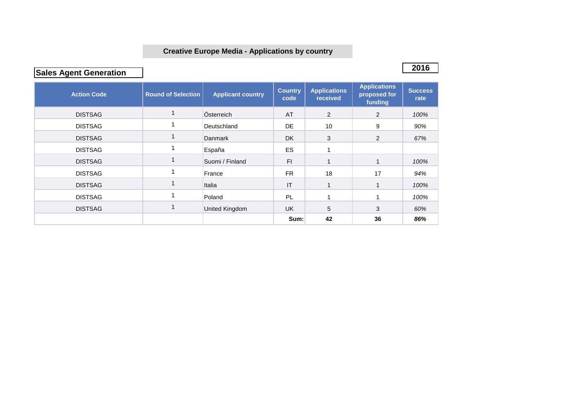## **Creative Europe Media - Applications by country**

**2016 Sales Agent Generation** 

| <b>Action Code</b> | <b>Round of Selection</b> | <b>Applicant country</b> | <b>Country</b><br>code | <b>Applications</b><br>received | <b>Applications</b><br>proposed for<br>funding | <b>Success</b><br>rate |
|--------------------|---------------------------|--------------------------|------------------------|---------------------------------|------------------------------------------------|------------------------|
| <b>DISTSAG</b>     |                           | Österreich               | AT                     | $\overline{2}$                  | 2                                              | 100%                   |
| <b>DISTSAG</b>     |                           | Deutschland              | <b>DE</b>              | 10                              | 9                                              | 90%                    |
| <b>DISTSAG</b>     |                           | Danmark                  | <b>DK</b>              | 3                               | $\overline{2}$                                 | 67%                    |
| <b>DISTSAG</b>     |                           | España                   | ES                     |                                 |                                                |                        |
| <b>DISTSAG</b>     |                           | Suomi / Finland          | FI.                    |                                 | 1                                              | 100%                   |
| <b>DISTSAG</b>     |                           | France                   | FR.                    | 18                              | 17                                             | 94%                    |
| <b>DISTSAG</b>     |                           | Italia                   | IT                     |                                 | 1                                              | 100%                   |
| <b>DISTSAG</b>     |                           | Poland                   | PL                     |                                 |                                                | 100%                   |
| <b>DISTSAG</b>     |                           | United Kingdom           | <b>UK</b>              | 5                               | 3                                              | 60%                    |
|                    |                           |                          | Sum:                   | 42                              | 36                                             | 86%                    |